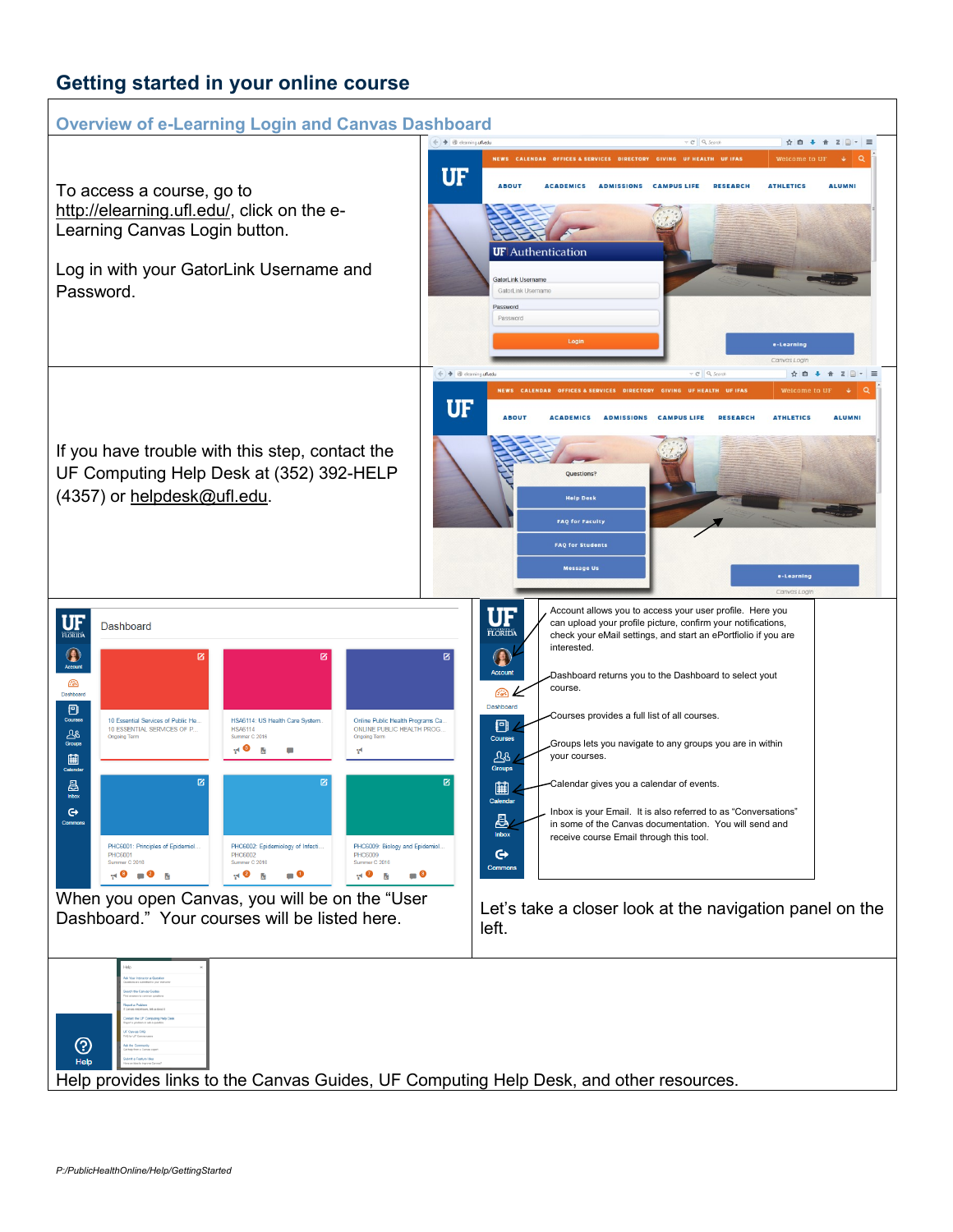## **Getting started in your online course**

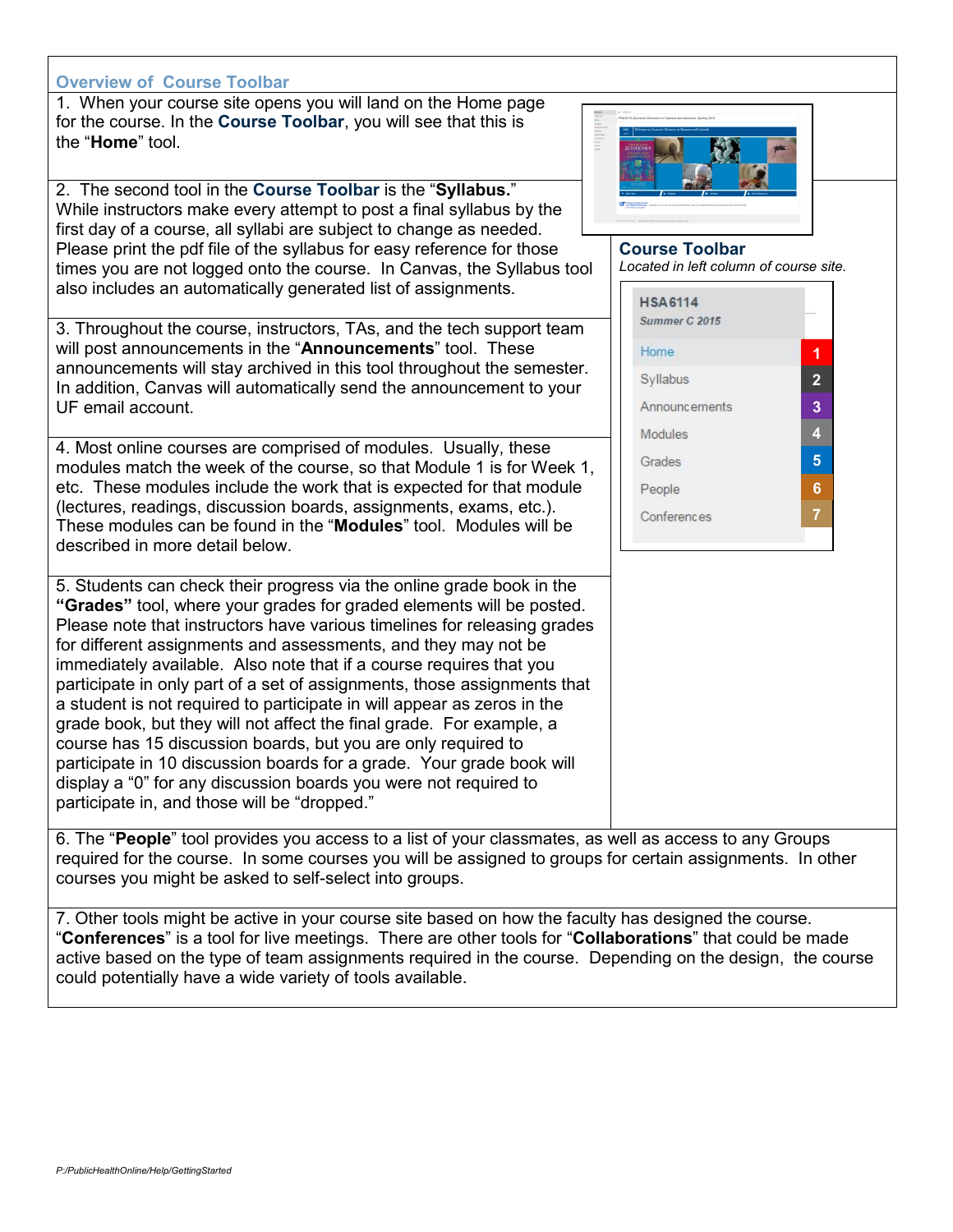## **Overview of Course Toolbar**

1. When your course site opens you will land on the Home page for the course. In the **Course Toolbar**, you will see that this is the "**Home**" tool.

2. The second tool in the **Course Toolbar** is the "**Syllabus.**" While instructors make every attempt to post a final syllabus by the first day of a course, all syllabi are subject to change as needed. Please print the pdf file of the syllabus for easy reference for those times you are not logged onto the course. In Canvas, the Syllabus tool also includes an automatically generated list of assignments.

3. Throughout the course, instructors, TAs, and the tech support team will post announcements in the "**Announcements**" tool. These announcements will stay archived in this tool throughout the semester. In addition, Canvas will automatically send the announcement to your UF email account.

4. Most online courses are comprised of modules. Usually, these modules match the week of the course, so that Module 1 is for Week 1, etc. These modules include the work that is expected for that module (lectures, readings, discussion boards, assignments, exams, etc.). These modules can be found in the "**Modules**" tool. Modules will be described in more detail below.

5. Students can check their progress via the online grade book in the **"Grades"** tool, where your grades for graded elements will be posted. Please note that instructors have various timelines for releasing grades for different assignments and assessments, and they may not be immediately available. Also note that if a course requires that you participate in only part of a set of assignments, those assignments that a student is not required to participate in will appear as zeros in the grade book, but they will not affect the final grade. For example, a course has 15 discussion boards, but you are only required to participate in 10 discussion boards for a grade. Your grade book will display a "0" for any discussion boards you were not required to participate in, and those will be "dropped."

6. The "**People**" tool provides you access to a list of your classmates, as well as access to any Groups required for the course. In some courses you will be assigned to groups for certain assignments. In other courses you might be asked to self-select into groups.

7. Other tools might be active in your course site based on how the faculty has designed the course. "**Conferences**" is a tool for live meetings. There are other tools for "**Collaborations**" that could be made active based on the type of team assignments required in the course. Depending on the design, the course could potentially have a wide variety of tools available.



## **Course Toolbar** *Located in left column of course site.*

| <b>HSA6114</b><br>Summer C 2015 |                |
|---------------------------------|----------------|
| Home                            | 1              |
| Syllabus                        | $\overline{2}$ |
| <b>Announcements</b>            | 3              |
| Modules                         | 4              |
| Grades                          | 5              |
| People                          | 6              |
| Conferences                     | 7              |
|                                 |                |